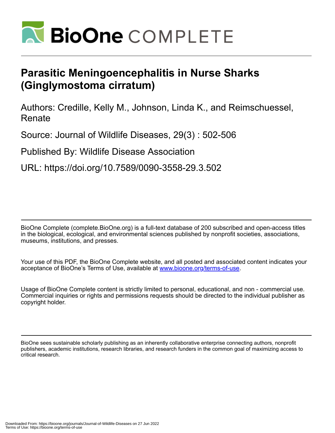

## **Parasitic Meningoencephalitis in Nurse Sharks (Ginglymostoma cirratum)**

Authors: Credille, Kelly M., Johnson, Linda K., and Reimschuessel, Renate

Source: Journal of Wildlife Diseases, 29(3) : 502-506

Published By: Wildlife Disease Association

URL: https://doi.org/10.7589/0090-3558-29.3.502

BioOne Complete (complete.BioOne.org) is a full-text database of 200 subscribed and open-access titles in the biological, ecological, and environmental sciences published by nonprofit societies, associations, museums, institutions, and presses.

Your use of this PDF, the BioOne Complete website, and all posted and associated content indicates your acceptance of BioOne's Terms of Use, available at www.bioone.org/terms-of-use.

Usage of BioOne Complete content is strictly limited to personal, educational, and non - commercial use. Commercial inquiries or rights and permissions requests should be directed to the individual publisher as copyright holder.

BioOne sees sustainable scholarly publishing as an inherently collaborative enterprise connecting authors, nonprofit publishers, academic institutions, research libraries, and research funders in the common goal of maximizing access to critical research.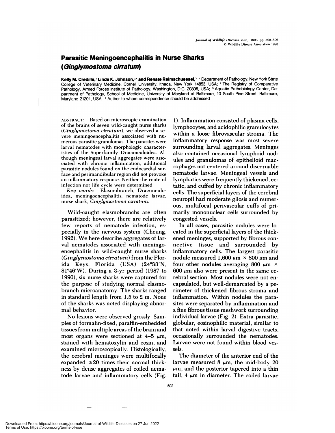## **Parasitic Meningoencephalitis in Nurse Sharks (Ginglymostoma cirratum)**

**Kelly M.** Credille,' **Linda K. Johnson,24 and Renate Reimschuessel,3** 'Department of Pathology, New York State College of Veterinary Medicine, Cornell University, Ithaca, New York 14853, USA; <sup>2</sup> The Registry of Comparative Pathology, Armed Forces Institute of Pathology, Washington, D.C. 20306, USA; <sup>3</sup> Aquatic Pathobiology Center, Department of Pathology, School of Medicine, University of Maryland at Baltimore, 10 South Pine Street, Baltimore, Maryland 21201, USA. 4 Author to whom correspondence should be addressed

ABSTRACT: Based on microscopic examination of the brains of seven wild-caught nurse sharks *(Ginglymostoma cirratum),* we observed a se vere meningoencephalitis associated with nu merous parasitic granulomas. The parasites were larval nematodes with morphologic characteristics of the Superfamily Dracunculoidea. Although meningeal larval aggregates were asso ciated with chronic inflammation, additional parasitic nodules found on the endocardial surface and perimandibular region did not provoke **an inflammatory response.** Neither the route of infection nor life cycle were determined.

*Key words:* Elasmobranch, Dracunculoidea, **meningoencephalitis, nematode larvae,** nurse shark, *Ginglymostoma cirratum.*

Wild-caught elasmobranchs are often parasitized; however, there are relatively few reports of nematode infection, es pecially in the nervous system (Cheung, 1992). We here describe aggregates of larval nematodes associated with meningoencephalitis in wild-caught nurse sharks *(Ginglymostoma cirratum)* from the Florida Keys, Florida (USA) (24°33'N, 81 $946'W$ ). During a 3-yr period (1987 to 1990), six nurse sharks were captured for the purpose of studying normal elasmobranch microanatomy. The sharks ranged in standard length from 1.5 to 2 m. None of the sharks was noted displaying abnormal behavior.

No lesions were observed grossly. Samples of formalin-fixed, paraffin-embedded tissues from multiple areas of the brain and most organs were sectioned at  $4-5 \mu m$ , stained with hematoxylin and eosin, and examined microscopically. Histologically, the cerebral meninges were multifocally expanded  $\leq 20$  times their normal thickness by dense aggregates of coiled nema tode larvae and inflammatory cells (Fig.

1). Inflammation consisted of plasma cells, lymphocytes, and acidophilic granulocytes within a loose fibrovascular stroma. The inflammatory response was most severe surrounding larval aggregates. Meninges also contained occasional lymphoid nodules and granulomas of epithelioid macrophages not centered around discernable nematode larvae. Meningeal vessels and lymphatics were frequently thickened, ectatic, and cuffed by chronic inflammatory cells. The superficial layers of the cerebral neuropil had moderate gliosis and numer ous, multifocal perivascular cuffs of primarily mononuclear cells surrounded by congested vessels.

In all cases, parasitic nodules were located in the superficial layers of the thickened meninges, supported by fibrous con nective tissue and surrounded by inflammatory cells. The largest parasitic nodule measured 1,600  $\mu$ m  $\times$  800  $\mu$ m and four other nodules averaging 800  $\mu$ m  $\times$  $600 \mu m$  also were present in the same cerebral section. Most nodules were not en capsulated, but well-demarcated by a perimeter of thickened fibrous stroma and inflammation. Within nodules the parasites were separated by inflammation and a fine fibrous tissue meshwork surrounding individual larvae (Fig. 2). Extra-parasitic, globular, eosinophilic material, similar to that noted within larval digestive tracts, occasionally surrounded the nematodes. Larvae were not found within blood ves sels.

The diameter of the anterior end of the larvae measured 8  $\mu$ m, the mid-body 20  $\mu$ m, and the posterior tapered into a thin tail,  $4 \mu m$  in diameter. The coiled larvae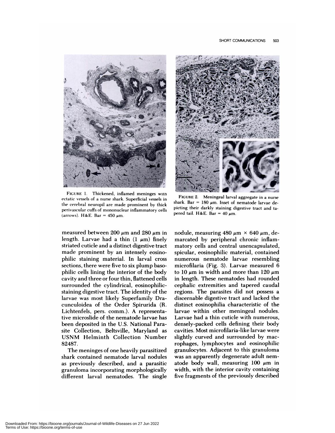

**FIGURE** 1. Thickened, inflamed meninges witn ectatic vessels of a nurse shark. Superficial vessels in the cerebral neuropil are made prominent by thick perivascular cuffs of mononuclear inflammatory cells (arrows). H&E. Bar =  $450 \mu m$ .

measured between 200  $\mu$ m and 280  $\mu$ m in length. Larvae had a thin  $(1 \mu m)$  finely striated cuticle and a distinct digestive tract made prominent by an intensely eosinophilic staining material. In larval cross sections, there were five to six plump basophilic cells lining the interior of the body cavity and three or four thin, flattened cells surrounded the cylindrical, eosinophilicstaining digestive tract. The identity of the larvae was most likely Superfamily Dracunculoidea of the Order Spirurida (R. Lichtenfels, pers. comm.). A representative microslide of the nematode larvae has been deposited in the U.S. National Parasite Collection, Beltsville, Maryland as USNM Helminth Collection Number 82487.

The meninges of one heavily parasitized shark contained nematode larval nodules as previously described, and a parasitic granuloma incorporating morphologically different larval nematodes. The single



**FIGURE 2. Meningeal larval aggregate in a nurse** shark. Bar =  $180 \mu m$ . Inset of nematode larvae depicting their darkly staining digestive tract and ta pered tail. H&E. Bar =  $40 \mu m$ .

nodule, measuring  $480 \mu m \times 640 \mu m$ , demarcated by peripheral chronic inflammatory cells and central unencapsulated, spicular, eosinophilic material, contained numerous nematode larvae resembling microfilaria (Fig. 3). Larvae measured 6 to 10  $\mu$ m in width and more than 120  $\mu$ m in length. These nematodes had rounded cephalic extremities and tapered caudal regions. The parasites did not possess a discernable digestive tract and lacked the distinct eosinophilia characteristic of the larvae within other meningeal nodules. Larvae had a thin cuticle with numerous, densely-packed cells defining their body cavities. Most microfilaria-like larvae were slightly curved and surrounded by macrophages, lymphocytes and eosinophilic granulocytes. Adjacent to this granuloma was an apparently degenerate adult nematode body wall, measuring  $100 \mu m$  in width, with the interior cavity containing five fragments of the previously described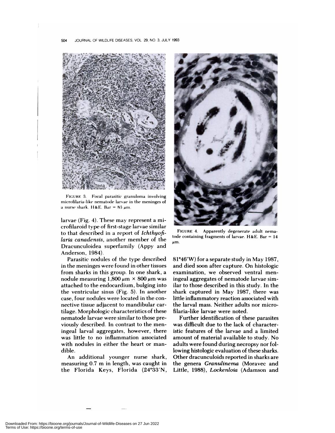

FIGURE 3. Focal parasitic granuloma involving microfilaria-like nematode larvae in the meninges of a nurse shark. H&E. Bar =  $83 \mu m$ .

larvae (Fig. 4). These may represent a microfilaroid type of first-stage larvae similar to that described in a report of *Ichthyofilana canadensis,* another member of the Dracunculoidea superfamily (Appy and Anderson, 1984).

Parasitic nodules of the type described in the meninges were found in other tissues from sharks in this group. In one shark, a nodule measuring  $1,800 \mu m \times 800 \mu m$  was attached to the endocardium, bulging into the ventricular sinus (Fig. 5). In another case, four nodules were located in the con nective tissue adjacent to mandibular cartilage. Morphologic characteristics of these nematode larvae were similar to those previously described. In contrast to the meningeal larval aggregates, however, there was little to no inflammation associated with nodules in either the heart or man dible.

An additional younger nurse shark, measuring 0.7 m in length, was caught in the Florida Keys, Florida (24°33'N,



**FIGURE** 4. Apparently degenerate adult nematode containing fragments of larvae. H&E. Bar **<sup>=</sup>** 14  $\mu$ m.

81°46'W) for a separate study in May 1987, and died soon after capture. On histologic examination, we observed ventral men ingeal aggregates of nematode larvae similar to those described in this study. In the shark captured in May 1987, there was little inflammatory reaction associated with the larval mass. Neither adults nor microfilaria-like larvae were noted.

Further identification of these parasites was difficult due to the lack of characteristic features of the larvae and a limited amount of material available to study. No adults were found during necropsy nor following histologic evaluation of these sharks. Other dracunculoids reported in sharks are the genera *Granulinema* (Moravec and Little, 1988), *Lockenloia* (Adamson and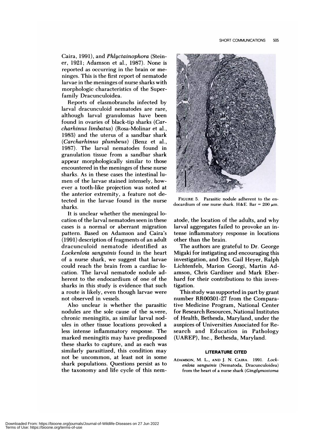Caira, 1991), and *Phlyctainophora* (Steiner, 1921; Adamson et al., 1987). None is reported as occurring in the brain or me ninges. This is the first report of nematode larvae in the meninges of nurse sharks with morphologic characteristics of the Superfamily Dracunculoidea.

Reports of elasmobranchs infected by larval dracunculoid nematodes are rare, although larval granulomas have been found in ovaries of black-tip sharks *(Carcharhinus limbatus)* (Rosa-Molinar et a!., 1983) and the uterus of a sandbar shark *(Carcharhinus plumbeus)* (Benz et al., 1987). The larval nematodes found in granulation tissue from a sandbar shark appear morphologically similar to those encountered in the meninges of these nurse sharks. As in these cases the intestinal lu men of the larvae stained intensely, how ever a tooth-like projection was noted at the anterior extremity, a feature not detected in the larvae found in the nurse sharks.

It is unclear whether the meningeal location of the larval nematodes seen in these cases is a normal or aberrant migration pattern. Based on Adamson and Caira's (1991) description of fragments of an adult dracunculoid nematode identified as *Lockenloia sanguinis* found in the heart of a nurse shark, we suggest that larvae could reach the brain from a cardiac location. The larval nematode nodule adherent to the endocardium of one of the sharks in this study is evidence that such a route is likely, even though larvae were not observed in vessels.

Also unclear is whether the parasitic nodules are the sole cause of the severe, chronic meningitis, as similar larval nodules in other tissue locations provoked a less intense inflammatory response. The marked meningitis may have predisposed these sharks to capture, and as each was similarly parasitized, this condition may not be uncommon, at least not in some shark populations. Questions persist as to the taxonomy and life cycle of this nem-



**FIGURE** 5. Parasitic nodule adherent to the en docardium of one nurse shark. H&E. Bar = 200  $\mu$ m.

atode, the location of the adults, and why larval aggregates failed to provoke an intense inflammatory response in locations other than the brain.

The authors are grateful to Dr. George Migaki for instigating and encouraging this investigation, and Drs. Gail Heyer, Ralph Lichtenfels, Marion Georgi, Martin Adamson, Chris Gardiner and Mark Eberhard for their contributions to this investigation.

This study was supported in part by grant number RROO3O1-27 from the Comparative Medicine Program, National Center for Research Resources, National Institutes of Health, Bethesda, Maryland, under the auspices of Universities Associated for Research and Education in Pathology (UAREP), Inc., Bethesda, Maryland.

## **LITERATURE CITED**

ADAMSON, M. L., **AND** J. N. **CAIRA. 1991.** *Lockenloia sanguinis* **(Nematoda, Dracunculoidea)** from the heart of a nurse shark *(Ginglymostoma*